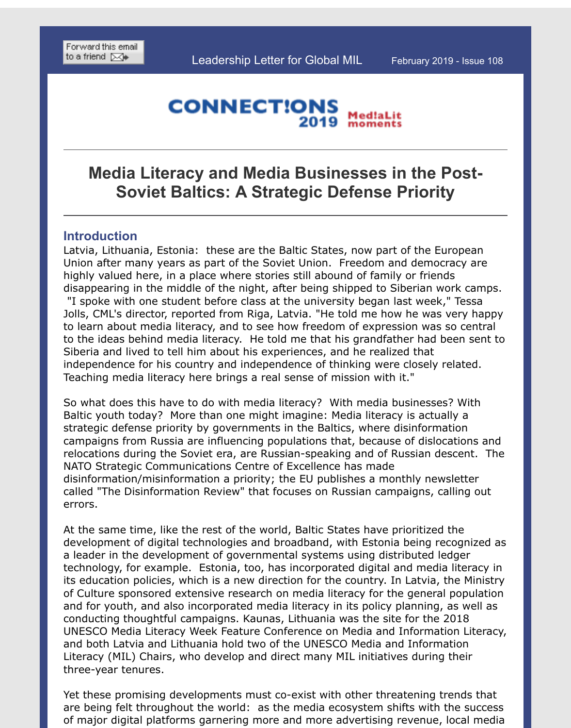#### **CONNECTIONS** Med!aLit 2019

# **[Media L](http://ui.constantcontact.com/sa/fwtf.jsp?m=1102560151274&a=1132228307628&ea=)iteracy and Media Businesses in the Post-Soviet Baltics: A Strategic Defense Priority**

# **Introduction**

Latvia, Lithuania, Estonia: these are the Baltic States, now part of the European Union after many years as part of the Soviet Union. Freedom and democracy are highly valued here, in a place where stories still abound of family or friends disappearing in the middle of the night, after being shipped to Siberian work cam "I spoke with one student before class at the university began last week," Tessa Jolls, CML's director, reported from Riga, Latvia. "He told me how he was very ha to learn about media literacy, and to see how freedom of expression was so central to the ideas behind media literacy. He told me that his grandfather had been sent Siberia and lived to tell him about his experiences, and he realized that independence for his country and independence of thinking were closely related. Teaching media literacy here brings a real sense of mission with it."

So what does this have to do with media literacy? With media businesses? With Baltic youth today? More than one might imagine: Media literacy is actually a strategic defense priority by governments in the Baltics, where disinformation campaigns from Russia are influencing populations that, because of dislocations and relocations during the Soviet era, are Russian-speaking and of Russian descent. NATO Strategic Communications Centre of Excellence has made disinformation/misinformation a priority; the EU publishes a monthly newsletter called "The Disinformation Review" that focuses on Russian campaigns, calling out errors.

At the same time, like the rest of the world, Baltic States have prioritized the development of digital technologies and broadband, with Estonia being recognize a leader in the development of governmental systems using distributed ledger technology, for example. Estonia, too, has incorporated digital and media literacy its education policies, which is a new direction for the country. In Latvia, the Mini of Culture sponsored extensive research on media literacy for the general population and for youth, and also incorporated media literacy in its policy planning, as well conducting thoughtful campaigns. Kaunas, Lithuania was the site for the 2018 UNESCO Media Literacy Week Feature Conference on Media and Information Liter and both Latvia and Lithuania hold two of the UNESCO Media and Information Literacy (MIL) Chairs, who develop and direct many MIL initiatives during their three-year tenures.

Yet these promising developments must co-exist with other threatening trends that are being felt throughout the world: as the media ecosystem shifts with the succ of major digital platforms garnering more and more advertising revenue, local me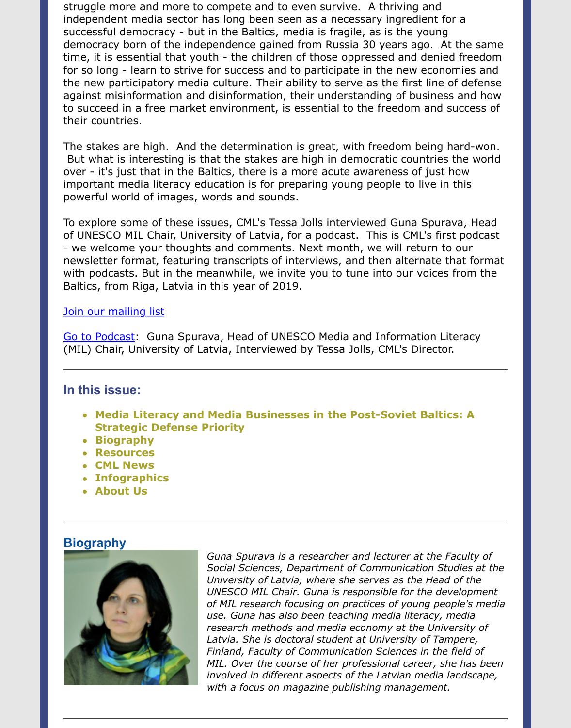against misinformation and disinformation, their understanding of business and how to succeed in a free market environment, is essential to the freedom and success their countries.

The stakes are high. And the determination is great, with freedom being hard-won. But what is interesting is that the stakes are high in democratic countries the world over - it's just that in the Baltics, there is a more acute awareness of just how important media literacy education is for preparing young people to live in this powerful world of images, words and sounds.

To explore some of these issues, CML's Tessa Jolls interviewed Guna Spurava, He of UNESCO MIL Chair, University of Latvia, for a podcast. This is CML's first podc - we welcome your thoughts and comments. Next month, we will return to our newsletter format, featuring transcripts of interviews, and then alternate that for with podcasts. But in the meanwhile, we invite you to tune into our voices from the Baltics, from Riga, Latvia in this year of 2019.

### Join our mailing list

Go to Podcast: Guna Spurava, Head of UNESCO Media and Information Literacy (MIL) Chair, University of Latvia, Interviewed by Tessa Jolls, CML's Director.

### **In this issue:**

- **[Media Litera](http://www.consortiumformedialiteracy.org/index.php?option=com_contact&view=contact&id=1&Itemid=6)cy and Media Businesses in the Post-Soviet Baltics: A Strategic Defense Priority**
- **[Biograp](https://soundcloud.com/user-207777315-703578692/guna-spurava-feb-22-2019)hy**
- **Resources**
- **CML News**
- **Infographics**
- **About Us**

## **Biography**



*Guna Spurava is a researcher and lecturer at the Faculty of* Social Sciences, Department of Communication Studies at *University of Latvia, where she serves as the Head of the* UNESCO MIL Chair. Guna is responsible for the developme of MIL research focusing on practices of young people's m *use. Guna has also been teaching media literacy, media* research methods and media economy at the University of *Latvia. She is doctoral student at University of Tampere, Finland, Faculty of Communication Sciences in the field of MIL. Over the course of her professional career, she has b involved in different aspects of the Latvian media landscal with a focus on magazine publishing management.*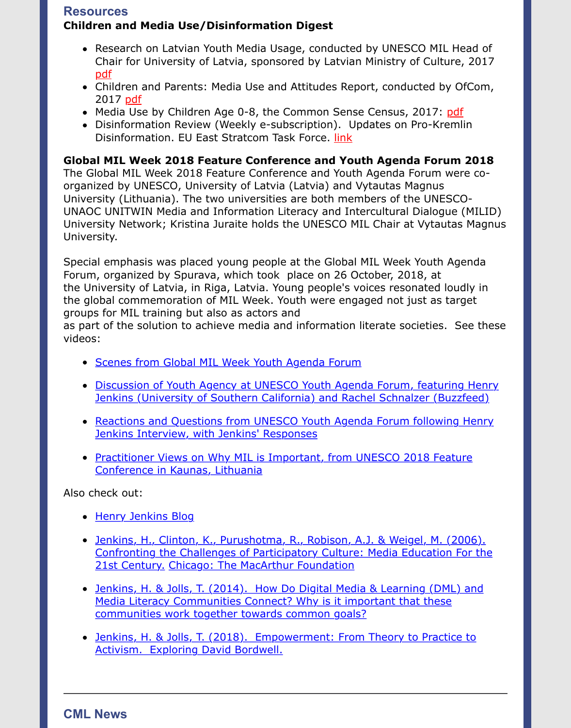- 2017 pdf
- Media Use by Children Age 0-8, the Common Sense Census, 2017: pdf
- Disinformation Review (Weekly e-subscription). Updates on Pro-Kremlin Disinformation. EU East Stratcom Task Force. link

### **Global MIL Week 2018 Feature Conference and Youth Agenda Forum 2018**

The G[loba](https://www.km.gov.lv/uploads/ckeditor/files/mediju_politika/petijumi/eng/Summary_Research%20on%20the%20Media%20Literacy%20of%20Children%20and%20Adolescents%20Aged%209-16%20in%20Latvia_ENG.pdf)l MIL Week 2018 Feature Conference and Youth Agenda Forum were coorganized by UNESCO, University of Latvia (Latvia) and Vytautas Magnus University ([Lith](https://www.ofcom.org.uk/__data/assets/pdf_file/0020/108182/children-parents-media-use-attitudes-2017.pdf)uania). The two universities are both members of the UNESCOUNAOC UNITWIN Media and Information Literacy and Intercultural Dialog[ue \(](https://www.commonsensemedia.org/sites/default/files/uploads/research/csm_zerotoeight_fullreport_release_2.pdf)MIL University Network; Kristina Juraite holds the UNESCO MIL Chair at Vytautas Magnus University.

Special emphasis was placed young people at the Global MIL Week Youth Agenda Forum, organized by Spurava, which took place on 26 October, 2018, at the University of Latvia, in Riga, Latvia. Young people's voices resonated loudly in the global commemoration of MIL Week. Youth were engaged not just as target groups for MIL training but also as actors and

as part of the solution to achieve media and information literate societies. See the videos:

- **Scenes from Global MIL Week Youth Agenda Forum**
- Discussion of Youth Agency at UNESCO Youth Agenda Forum, featuring Her Jenkins (University of Southern California) and Rachel Schnalzer (Buzzfeed)
- Reactions and Questions from UNESCO Youth Agenda Forum following Henry Jenkins Interview, with Jenkins' Responses
- [Practitioner Views on Why MIL is Important, from U](https://www.youtube.com/watch?v=G7JpG-7NPBE&t=3s&frags=pl%2Cwn)NESCO 2018 Feature Conference in Kaunas, Lithuania

Also c[heck out:](https://www.youtube.com/watch?v=i3g17-KhuRk&t=2s&frags=pl%2Cwn)

- Henry Jenkins Blog
- [Jenkins, H., Clinton, K., Purushotma, R., Robison, A.J. & Weigel, M. \(2006\).](https://www.youtube.com/watch?v=oPyJeXGMA1w&frags=pl%2Cwn) [Confronting the Challenges of Participatory Culture: Media Education For](https://www.youtube.com/watch?v=vYeINYtCRa8&frags=pl%2Cwn) the 21st Century. Chicago: The MacArthur Foundation
- Jenkins, H. & Jolls, T. (2014). How Do Digital Media & Learning (DML) and Media Literacy Communities Connect? Why is it important that these [communities work t](http://henryjenkins.org/)ogether towards common goals?
- [Jenkins, H. & Jolls, T. \(2018\). Empowerment: From Theory to Practice to](https://ictlogy.net/bibliography/reports/projects.php?idp=700) Activism. Exploring David Bordwell.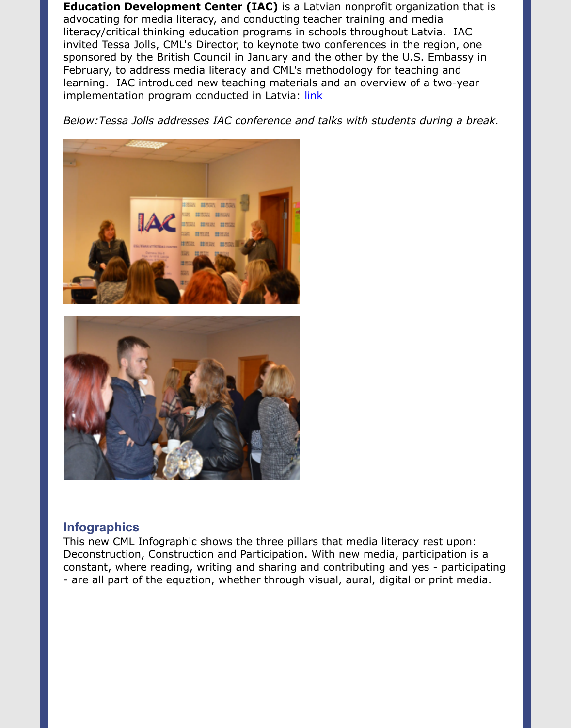#### implementation program conducted in Latvia: links and links and links and links are links and links and links a

Below: Tessa Jolls addresses IAC conference and talks with students during a brea



## **Infographics**

This new CML Infographic shows the three pillars that media literacy rest upon: Deconstruction, Construction and Participation. With new media, participation is a constant, where reading, writing and sharing and contributing and yes - participa - are all part of the equation, whether through visual, aural, digital or print media.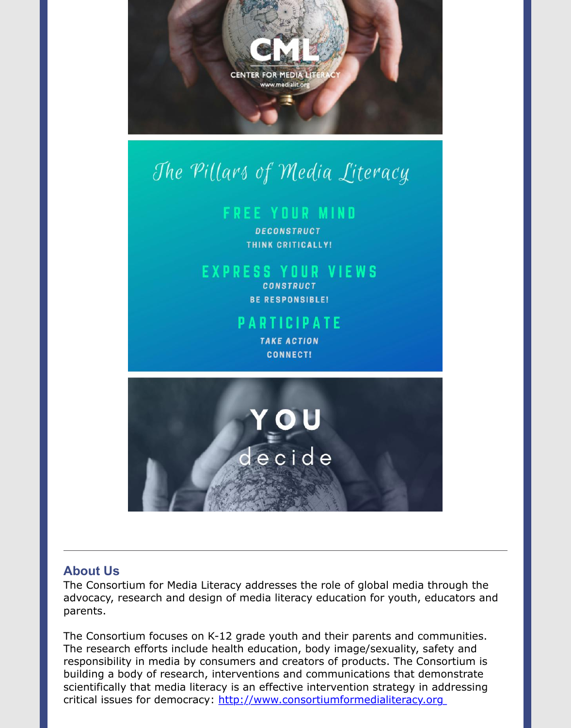

# The Pillars of Media Literacy

# **FREE YOUR MIND**

**DECONSTRUCT** THINK CRITICALLY!

# **EXPRESS YOUR VIEWS**

**CONSTRUCT BE RESPONSIBLE!** 

# **PARTICIPATE**

**TAKE ACTION CONNECT!** 



# **About Us**

The Consortium for Media Literacy addresses the role of global media through the advocacy, research and design of media literacy education for youth, educators a parents.

The Consortium focuses on K-12 grade youth and their parents and communities. The research efforts include health education, body image/sexuality, safety and responsibility in media by consumers and creators of products. The Consortium is building a body of research, interventions and communications that demonstrate scientifically that media literacy is an effective intervention strategy in addressing critical issues for democracy: http://www.consortiumformedialiteracy.org